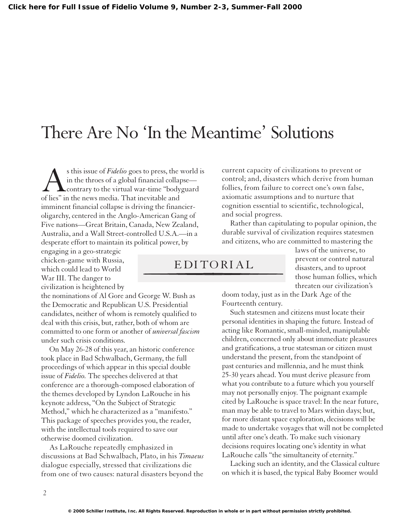## There Are No 'In the Meantime' Solutions

s this issue of *Fidelio* goes to press, the world is<br>in the throes of a global financial collapse—<br>contrary to the virtual war-time "bodyguard<br>of lies" in the news media. That inevitable and in the throes of a global financial collapse contrary to the virtual war-time "bodyguard of lies" in the news media. That inevitable and imminent financial collapse is driving the financieroligarchy, centered in the Anglo-American Gang of Five nations—Great Britain, Canada, New Zealand, Australia, and a Wall Street-controlled U.S.A.—in a desperate effort to maintain its political power, by

engaging in a geo-strategic chicken-game with Russia, which could lead to World War III. The danger to civilization is heightened by

the nominations of Al Gore and George W. Bush as the Democratic and Republican U.S. Presidential candidates, neither of whom is remotely qualified to deal with this crisis, but, rather, both of whom are committed to one form or another of *universal fascism* under such crisis conditions.

On May 26-28 of this year, an historic conference took place in Bad Schwalbach, Germany, the full proceedings of which appear in this special double issue of *Fidelio.* The speeches delivered at that conference are a thorough-composed elaboration of the themes developed by Lyndon LaRouche in his keynote address, "On the Subject of Strategic Method," which he characterized as a "manifesto." This package of speeches provides you, the reader, with the intellectual tools required to save our otherwise doomed civilization.

As LaRouche repeatedly emphasized in discussions at Bad Schwalbach, Plato, in his *Timaeus* dialogue especially, stressed that civilizations die from one of two causes: natural disasters beyond the

current capacity of civilizations to prevent or control; and, disasters which derive from human follies, from failure to correct one's own false, axiomatic assumptions and to nurture that cognition essential to scientific, technological, and social progress.

Rather than capitulating to popular opinion, the durable survival of civilization requires statesmen and citizens, who are committed to mastering the

## EDITORIAL

laws of the universe, to prevent or control natural disasters, and to uproot those human follies, which threaten our civilization's

doom today, just as in the Dark Age of the Fourteenth century.

Such statesmen and citizens must locate their personal identities in shaping the future*.* Instead of acting like Romantic, small-minded, manipulable children, concerned only about immediate pleasures and gratifications, a true statesman or citizen must understand the present, from the standpoint of past centuries and millennia, and he must think 25-30 years ahead. You must derive pleasure from what you contribute to a future which you yourself may not personally enjoy. The poignant example cited by LaRouche is space travel: In the near future, man may be able to travel to Mars within days; but, for more distant space exploration, decisions will be made to undertake voyages that will not be completed until after one's death. To make such visionary decisions requires locating one's identity in what LaRouche calls "the simultaneity of eternity."

Lacking such an identity, and the Classical culture on which it is based, the typical Baby Boomer would